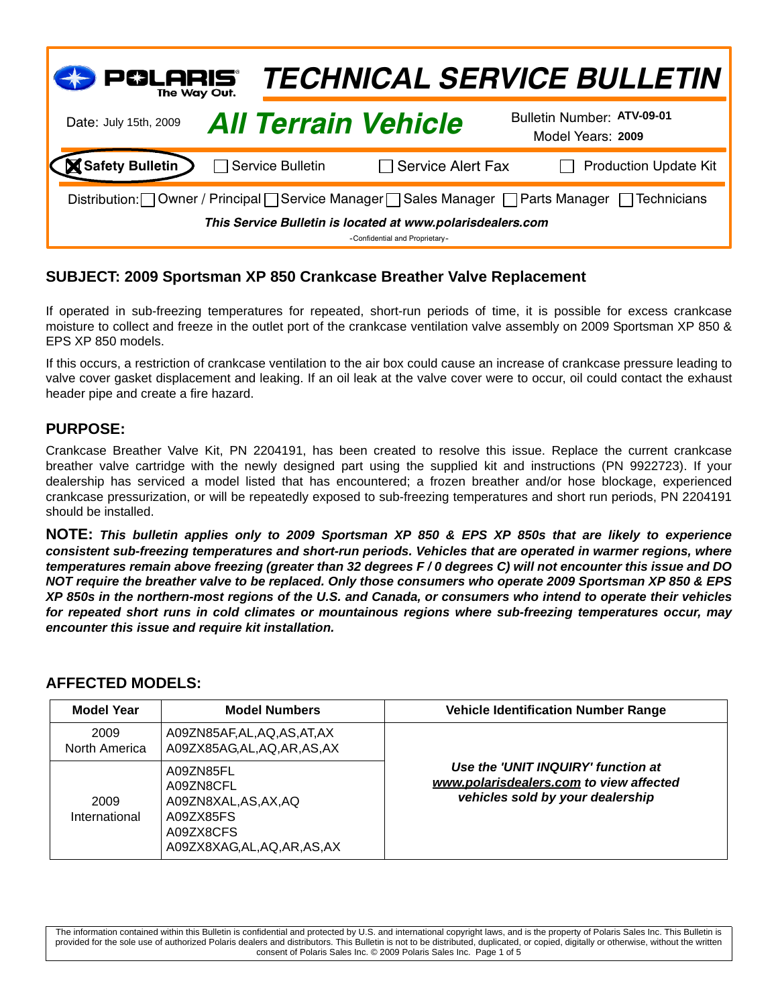| $\mathsf{PGLARS}_{\mathsf{The\,Way\,Out.}}$                                                  |                  |                            | <b>TECHNICAL SERVICE BULLETIN</b>               |  |
|----------------------------------------------------------------------------------------------|------------------|----------------------------|-------------------------------------------------|--|
| Date: July 15th, 2009                                                                        |                  | <b>All Terrain Vehicle</b> | Bulletin Number: ATV-09-01<br>Model Years: 2009 |  |
| <b>Safety Bulletin</b>                                                                       | Service Bulletin | $\Box$ Service Alert Fax   | <b>Production Update Kit</b>                    |  |
| Distribution: Owner / Principal Service Manager Sales Manager Parts Manager Prechnicians     |                  |                            |                                                 |  |
| This Service Bulletin is located at www.polarisdealers.com<br>-Confidential and Proprietary- |                  |                            |                                                 |  |

# **SUBJECT: 2009 Sportsman XP 850 Crankcase Breather Valve Replacement**

If operated in sub-freezing temperatures for repeated, short-run periods of time, it is possible for excess crankcase moisture to collect and freeze in the outlet port of the crankcase ventilation valve assembly on 2009 Sportsman XP 850 & EPS XP 850 models.

If this occurs, a restriction of crankcase ventilation to the air box could cause an increase of crankcase pressure leading to valve cover gasket displacement and leaking. If an oil leak at the valve cover were to occur, oil could contact the exhaust header pipe and create a fire hazard.

#### **PURPOSE:**

Crankcase Breather Valve Kit, PN 2204191, has been created to resolve this issue. Replace the current crankcase breather valve cartridge with the newly designed part using the supplied kit and instructions (PN 9922723). If your dealership has serviced a model listed that has encountered; a frozen breather and/or hose blockage, experienced crankcase pressurization, or will be repeatedly exposed to sub-freezing temperatures and short run periods, PN 2204191 should be installed.

**NOTE:** *This bulletin applies only to 2009 Sportsman XP 850 & EPS XP 850s that are likely to experience consistent sub-freezing temperatures and short-run periods. Vehicles that are operated in warmer regions, where temperatures remain above freezing (greater than 32 degrees F / 0 degrees C) will not encounter this issue and DO NOT require the breather valve to be replaced. Only those consumers who operate 2009 Sportsman XP 850 & EPS XP 850s in the northern-most regions of the U.S. and Canada, or consumers who intend to operate their vehicles for repeated short runs in cold climates or mountainous regions where sub-freezing temperatures occur, may encounter this issue and require kit installation.*

#### **AFFECTED MODELS:**

| <b>Model Year</b>     | <b>Model Numbers</b>                                                                                       | <b>Vehicle Identification Number Range</b>                                                                        |
|-----------------------|------------------------------------------------------------------------------------------------------------|-------------------------------------------------------------------------------------------------------------------|
| 2009<br>North America | A09ZN85AF, AL, AQ, AS, AT, AX<br>A09ZX85AG,AL,AQ,AR,AS,AX                                                  | Use the 'UNIT INQUIRY' function at<br>www.polarisdealers.com to view affected<br>vehicles sold by your dealership |
| 2009<br>International | A09ZN85FL<br>A09ZN8CFL<br>A09ZN8XAL, AS, AX, AQ<br>A09ZX85FS<br>A09ZX8CFS<br>A09ZX8XAG, AL, AQ, AR, AS, AX |                                                                                                                   |

The information contained within this Bulletin is confidential and protected by U.S. and international copyright laws, and is the property of Polaris Sales Inc. This Bulletin is provided for the sole use of authorized Polaris dealers and distributors. This Bulletin is not to be distributed, duplicated, or copied, digitally or otherwise, without the written consent of Polaris Sales Inc. © 2009 Polaris Sales Inc. Page 1 of 5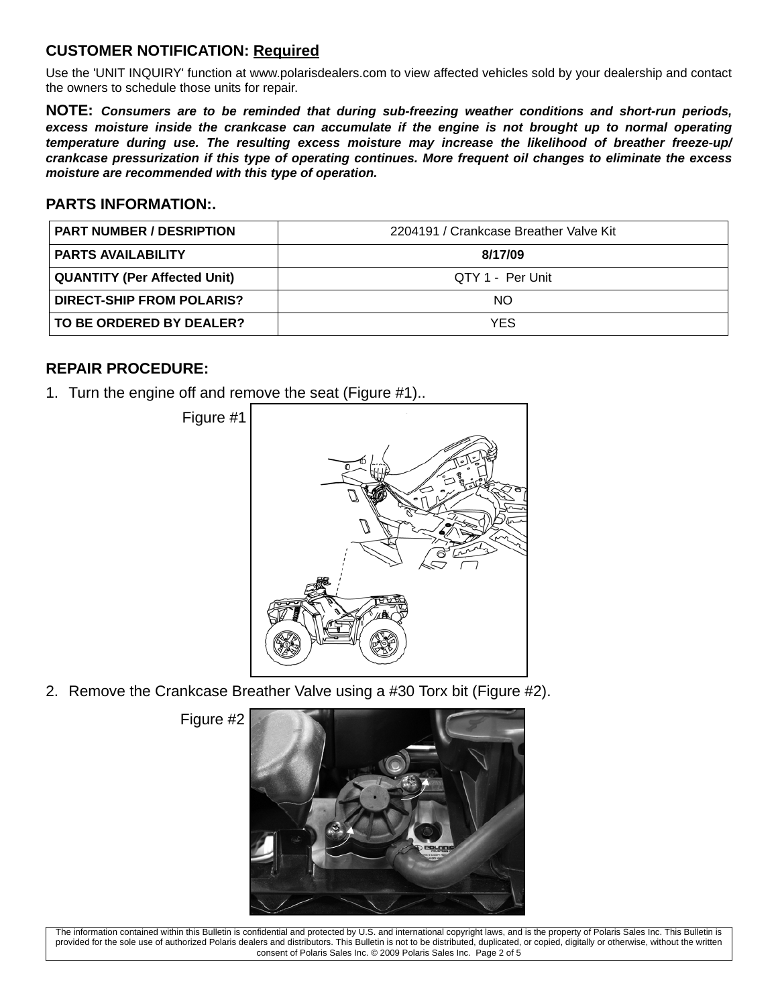# **CUSTOMER NOTIFICATION: Required**

Use the 'UNIT INQUIRY' function at www.polarisdealers.com to view affected vehicles sold by your dealership and contact the owners to schedule those units for repair.

**NOTE:** *Consumers are to be reminded that during sub-freezing weather conditions and short-run periods, excess moisture inside the crankcase can accumulate if the engine is not brought up to normal operating temperature during use. The resulting excess moisture may increase the likelihood of breather freeze-up/ crankcase pressurization if this type of operating continues. More frequent oil changes to eliminate the excess moisture are recommended with this type of operation.*

### **PARTS INFORMATION:.**

| <b>PART NUMBER / DESRIPTION</b>     | 2204191 / Crankcase Breather Valve Kit |
|-------------------------------------|----------------------------------------|
| <b>PARTS AVAILABILITY</b>           | 8/17/09                                |
| <b>QUANTITY (Per Affected Unit)</b> | QTY 1 - Per Unit                       |
| <b>DIRECT-SHIP FROM POLARIS?</b>    | NO.                                    |
| TO BE ORDERED BY DEALER?            | <b>YES</b>                             |

#### **REPAIR PROCEDURE:**

1. Turn the engine off and remove the seat (Figure #1)..



2. Remove the Crankcase Breather Valve using a #30 Torx bit (Figure #2).

Figure #2



The information contained within this Bulletin is confidential and protected by U.S. and international copyright laws, and is the property of Polaris Sales Inc. This Bulletin is provided for the sole use of authorized Polaris dealers and distributors. This Bulletin is not to be distributed, duplicated, or copied, digitally or otherwise, without the written consent of Polaris Sales Inc. © 2009 Polaris Sales Inc. Page 2 of 5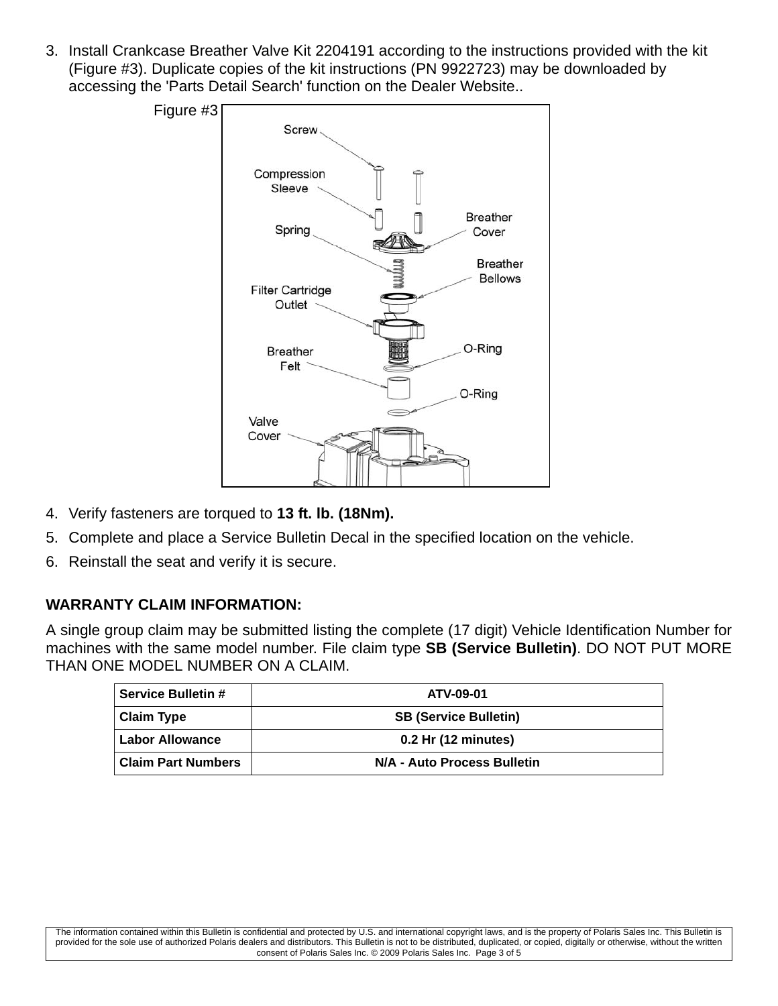3. Install Crankcase Breather Valve Kit 2204191 according to the instructions provided with the kit (Figure #3). Duplicate copies of the kit instructions (PN 9922723) may be downloaded by accessing the 'Parts Detail Search' function on the Dealer Website..



- 4. Verify fasteners are torqued to **13 ft. lb. (18Nm).**
- 5. Complete and place a Service Bulletin Decal in the specified location on the vehicle.
- 6. Reinstall the seat and verify it is secure.

# **WARRANTY CLAIM INFORMATION:**

A single group claim may be submitted listing the complete (17 digit) Vehicle Identification Number for machines with the same model number. File claim type **SB (Service Bulletin)**. DO NOT PUT MORE THAN ONE MODEL NUMBER ON A CLAIM.

| <b>Service Bulletin #</b> | ATV-09-01                    |
|---------------------------|------------------------------|
| <b>Claim Type</b>         | <b>SB (Service Bulletin)</b> |
| <b>Labor Allowance</b>    | 0.2 Hr (12 minutes)          |
| <b>Claim Part Numbers</b> | N/A - Auto Process Bulletin  |

The information contained within this Bulletin is confidential and protected by U.S. and international copyright laws, and is the property of Polaris Sales Inc. This Bulletin is provided for the sole use of authorized Polaris dealers and distributors. This Bulletin is not to be distributed, duplicated, or copied, digitally or otherwise, without the written consent of Polaris Sales Inc. © 2009 Polaris Sales Inc. Page 3 of 5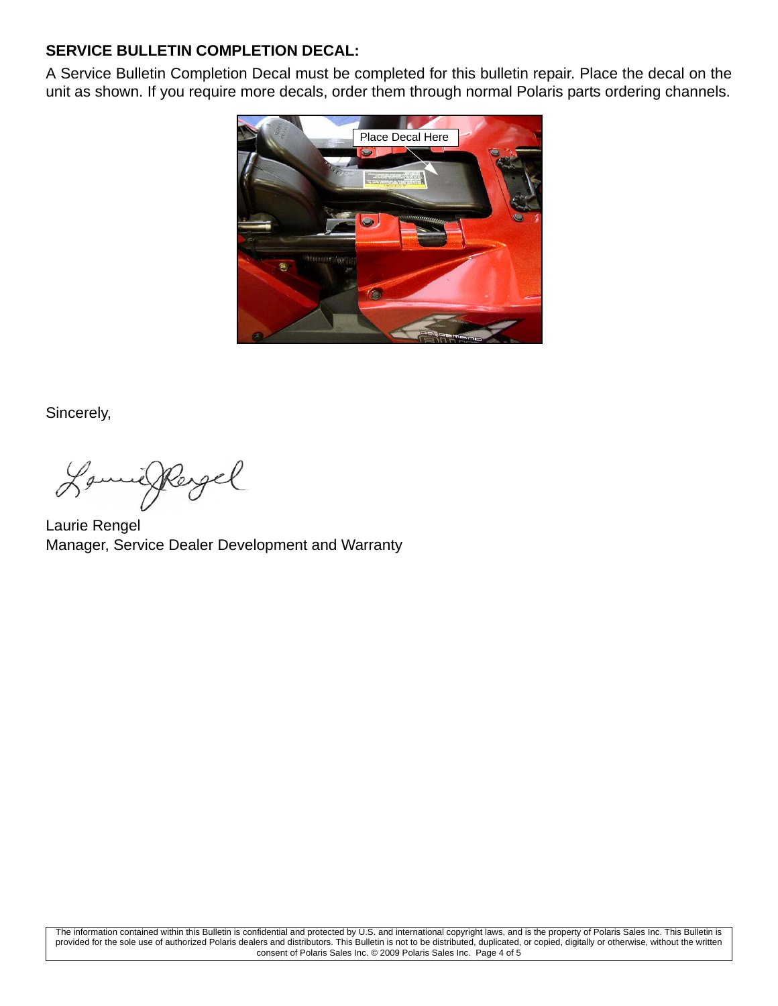# **SERVICE BULLETIN COMPLETION DECAL:**

A Service Bulletin Completion Decal must be completed for this bulletin repair. Place the decal on the unit as shown. If you require more decals, order them through normal Polaris parts ordering channels.



Sincerely,

milkergel

Laurie Rengel Manager, Service Dealer Development and Warranty

The information contained within this Bulletin is confidential and protected by U.S. and international copyright laws, and is the property of Polaris Sales Inc. This Bulletin is provided for the sole use of authorized Polaris dealers and distributors. This Bulletin is not to be distributed, duplicated, or copied, digitally or otherwise, without the written consent of Polaris Sales Inc. © 2009 Polaris Sales Inc. Page 4 of 5